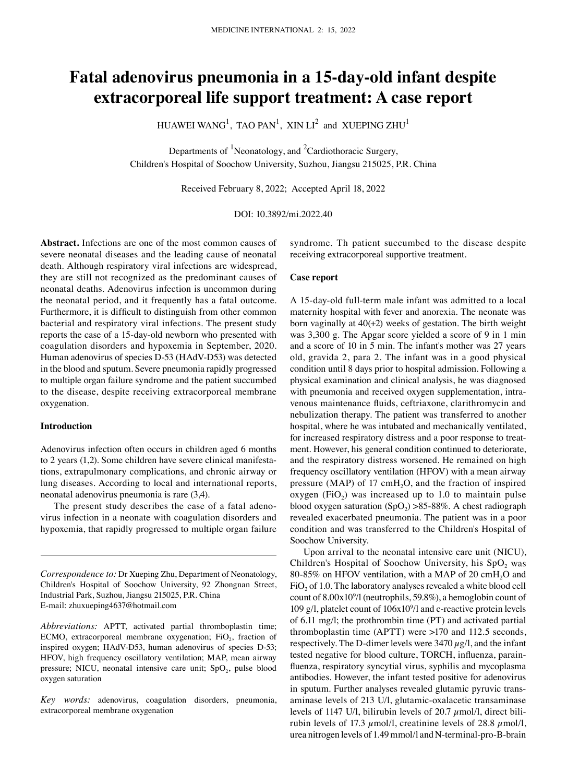# **Fatal adenovirus pneumonia in a 15‑day‑old infant despite extracorporeal life support treatment: A case report**

HUAWEI WANG $^1$ , TAO PAN $^1$ , XIN LI $^2$  and XUEPING ZHU $^1$ 

Departments of  ${}^{1}$ Neonatology, and  ${}^{2}$ Cardiothoracic Surgery, Children's Hospital of Soochow University, Suzhou, Jiangsu 215025, P.R. China

Received February 8, 2022; Accepted April 18, 2022

# DOI: 10.3892/mi.2022.40

**Abstract.** Infections are one of the most common causes of severe neonatal diseases and the leading cause of neonatal death. Although respiratory viral infections are widespread, they are still not recognized as the predominant causes of neonatal deaths. Adenovirus infection is uncommon during the neonatal period, and it frequently has a fatal outcome. Furthermore, it is difficult to distinguish from other common bacterial and respiratory viral infections. The present study reports the case of a 15‑day‑old newborn who presented with coagulation disorders and hypoxemia in September, 2020. Human adenovirus of species D‑53 (HAdV‑D53) was detected in the blood and sputum. Severe pneumonia rapidly progressed to multiple organ failure syndrome and the patient succumbed to the disease, despite receiving extracorporeal membrane oxygenation.

# **Introduction**

Adenovirus infection often occurs in children aged 6 months to 2 years  $(1,2)$ . Some children have severe clinical manifestations, extrapulmonary complications, and chronic airway or lung diseases. According to local and international reports, neonatal adenovirus pneumonia is rare (3,4).

The present study describes the case of a fatal adenovirus infection in a neonate with coagulation disorders and hypoxemia, that rapidly progressed to multiple organ failure

*Correspondence to:* Dr Xueping Zhu, Department of Neonatology, Children's Hospital of Soochow University, 92 Zhongnan Street, Industrial Park, Suzhou, Jiangsu 215025, P.R. China E‑mail: zhuxueping4637@hotmail.com

*Abbreviations:* APTT, activated partial thromboplastin time; ECMO, extracorporeal membrane oxygenation;  $FiO<sub>2</sub>$ , fraction of inspired oxygen; HAdV-D53, human adenovirus of species D-53; HFOV, high frequency oscillatory ventilation; MAP, mean airway pressure; NICU, neonatal intensive care unit;  $SpO<sub>2</sub>$ , pulse blood oxygen saturation

*Key words:* adenovirus, coagulation disorders, pneumonia, extracorporeal membrane oxygenation

syndrome. Th patient succumbed to the disease despite receiving extracorporeal supportive treatment.

## **Case report**

A 15‑day‑old full‑term male infant was admitted to a local maternity hospital with fever and anorexia. The neonate was born vaginally at 40(+2) weeks of gestation. The birth weight was 3,300 g. The Apgar score yielded a score of 9 in 1 min and a score of 10 in 5 min. The infant's mother was 27 years old, gravida 2, para 2. The infant was in a good physical condition until 8 days prior to hospital admission. Following a physical examination and clinical analysis, he was diagnosed with pneumonia and received oxygen supplementation, intravenous maintenance fluids, ceftriaxone, clarithromycin and nebulization therapy. The patient was transferred to another hospital, where he was intubated and mechanically ventilated, for increased respiratory distress and a poor response to treatment. However, his general condition continued to deteriorate, and the respiratory distress worsened. He remained on high frequency oscillatory ventilation (HFOV) with a mean airway pressure (MAP) of  $17 \text{ cm}H_2O$ , and the fraction of inspired oxygen (FiO<sub>2</sub>) was increased up to 1.0 to maintain pulse blood oxygen saturation  $(SpO<sub>2</sub>) > 85-88\%$ . A chest radiograph revealed exacerbated pneumonia. The patient was in a poor condition and was transferred to the Children's Hospital of Soochow University.

Upon arrival to the neonatal intensive care unit (NICU), Children's Hospital of Soochow University, his SpO<sub>2</sub> was 80-85% on HFOV ventilation, with a MAP of 20 cmH<sub>2</sub>O and  $FiO<sub>2</sub>$  of 1.0. The laboratory analyses revealed a white blood cell count of 8.00x109 /l (neutrophils, 59.8%), a hemoglobin count of 109 g/l, platelet count of 106x109 /l and c‑reactive protein levels of 6.11 mg/l; the prothrombin time (PT) and activated partial thromboplastin time (APTT) were >170 and 112.5 seconds, respectively. The D-dimer levels were  $3470 \mu g/l$ , and the infant tested negative for blood culture, TORCH, influenza, parainfluenza, respiratory syncytial virus, syphilis and mycoplasma antibodies. However, the infant tested positive for adenovirus in sputum. Further analyses revealed glutamic pyruvic transaminase levels of 213 U/l, glutamic‑oxalacetic transaminase levels of 1147 U/l, bilirubin levels of 20.7  $\mu$ mol/l, direct bilirubin levels of 17.3  $\mu$ mol/l, creatinine levels of 28.8  $\mu$ mol/l, urea nitrogen levels of 1.49 mmol/l and N-terminal-pro-B-brain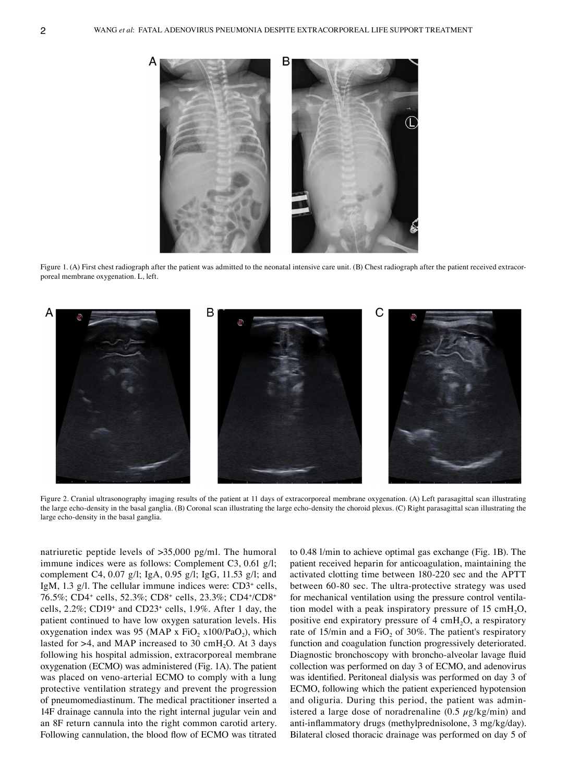

Figure 1. (A) First chest radiograph after the patient was admitted to the neonatal intensive care unit. (B) Chest radiograph after the patient received extracorporeal membrane oxygenation. L, left.



Figure 2. Cranial ultrasonography imaging results of the patient at 11 days of extracorporeal membrane oxygenation. (A) Left parasagittal scan illustrating the large echo-density in the basal ganglia. (B) Coronal scan illustrating the large echo-density the choroid plexus. (C) Right parasagittal scan illustrating the large echo‑density in the basal ganglia.

natriuretic peptide levels of >35,000 pg/ml. The humoral immune indices were as follows: Complement C3, 0.61 g/l; complement C4, 0.07 g/l; IgA, 0.95 g/l; IgG, 11.53 g/l; and IgM, 1.3 g/l. The cellular immune indices were: CD3<sup>+</sup> cells, 76.5%; CD4+ cells, 52.3%; CD8+ cells, 23.3%; CD4+ /CD8+ cells, 2.2%; CD19+ and CD23+ cells, 1.9%. After 1 day, the patient continued to have low oxygen saturation levels. His oxygenation index was 95 (MAP x  $FiO_2$  x100/PaO<sub>2</sub>), which lasted for  $>4$ , and MAP increased to 30 cmH<sub>2</sub>O. At 3 days following his hospital admission, extracorporeal membrane oxygenation (ECMO) was administered (Fig. 1A). The patient was placed on veno-arterial ECMO to comply with a lung protective ventilation strategy and prevent the progression of pneumomediastinum. The medical practitioner inserted a 14F drainage cannula into the right internal jugular vein and an 8F return cannula into the right common carotid artery. Following cannulation, the blood flow of ECMO was titrated

to 0.48 l/min to achieve optimal gas exchange (Fig. 1B). The patient received heparin for anticoagulation, maintaining the activated clotting time between 180‑220 sec and the APTT between 60‑80 sec. The ultra‑protective strategy was used for mechanical ventilation using the pressure control ventilation model with a peak inspiratory pressure of 15 cm $H_2O$ , positive end expiratory pressure of  $4 \text{ cm}H_2O$ , a respiratory rate of 15/min and a FiO<sub>2</sub> of 30%. The patient's respiratory function and coagulation function progressively deteriorated. Diagnostic bronchoscopy with broncho‑alveolar lavage fluid collection was performed on day 3 of ECMO, and adenovirus was identified. Peritoneal dialysis was performed on day 3 of ECMO, following which the patient experienced hypotension and oliguria. During this period, the patient was administered a large dose of noradrenaline  $(0.5 \ \mu g/kg/min)$  and anti-inflammatory drugs (methylprednisolone, 3 mg/kg/day). Bilateral closed thoracic drainage was performed on day 5 of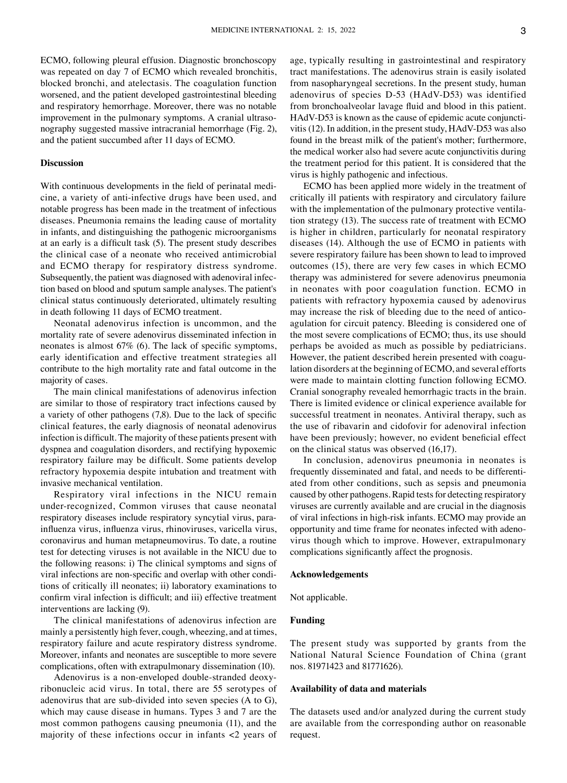ECMO, following pleural effusion. Diagnostic bronchoscopy was repeated on day 7 of ECMO which revealed bronchitis, blocked bronchi, and atelectasis. The coagulation function worsened, and the patient developed gastrointestinal bleeding and respiratory hemorrhage. Moreover, there was no notable improvement in the pulmonary symptoms. A cranial ultrasonography suggested massive intracranial hemorrhage (Fig. 2), and the patient succumbed after 11 days of ECMO.

## **Discussion**

With continuous developments in the field of perinatal medicine, a variety of anti‑infective drugs have been used, and notable progress has been made in the treatment of infectious diseases. Pneumonia remains the leading cause of mortality in infants, and distinguishing the pathogenic microorganisms at an early is a difficult task (5). The present study describes the clinical case of a neonate who received antimicrobial and ECMO therapy for respiratory distress syndrome. Subsequently, the patient was diagnosed with adenoviral infection based on blood and sputum sample analyses. The patient's clinical status continuously deteriorated, ultimately resulting in death following 11 days of ECMO treatment.

Neonatal adenovirus infection is uncommon, and the mortality rate of severe adenovirus disseminated infection in neonates is almost 67% (6). The lack of specific symptoms, early identification and effective treatment strategies all contribute to the high mortality rate and fatal outcome in the majority of cases.

The main clinical manifestations of adenovirus infection are similar to those of respiratory tract infections caused by a variety of other pathogens (7,8). Due to the lack of specific clinical features, the early diagnosis of neonatal adenovirus infection is difficult. The majority of these patients present with dyspnea and coagulation disorders, and rectifying hypoxemic respiratory failure may be difficult. Some patients develop refractory hypoxemia despite intubation and treatment with invasive mechanical ventilation.

Respiratory viral infections in the NICU remain under‑recognized, Common viruses that cause neonatal respiratory diseases include respiratory syncytial virus, parainfluenza virus, influenza virus, rhinoviruses, varicella virus, coronavirus and human metapneumovirus. To date, a routine test for detecting viruses is not available in the NICU due to the following reasons: i) The clinical symptoms and signs of viral infections are non-specific and overlap with other conditions of critically ill neonates; ii) laboratory examinations to confirm viral infection is difficult; and iii) effective treatment interventions are lacking (9).

The clinical manifestations of adenovirus infection are mainly a persistently high fever, cough, wheezing, and at times, respiratory failure and acute respiratory distress syndrome. Moreover, infants and neonates are susceptible to more severe complications, often with extrapulmonary dissemination (10).

Adenovirus is a non-enveloped double-stranded deoxyribonucleic acid virus. In total, there are 55 serotypes of adenovirus that are sub-divided into seven species  $(A \text{ to } G)$ , which may cause disease in humans. Types 3 and 7 are the most common pathogens causing pneumonia (11), and the majority of these infections occur in infants <2 years of age, typically resulting in gastrointestinal and respiratory tract manifestations. The adenovirus strain is easily isolated from nasopharyngeal secretions. In the present study, human adenovirus of species D‑53 (HAdV‑D53) was identified from bronchoalveolar lavage fluid and blood in this patient. HAdV-D53 is known as the cause of epidemic acute conjunctivitis (12). In addition, in the present study, HAdV‑D53 was also found in the breast milk of the patient's mother; furthermore, the medical worker also had severe acute conjunctivitis during the treatment period for this patient. It is considered that the virus is highly pathogenic and infectious.

ECMO has been applied more widely in the treatment of critically ill patients with respiratory and circulatory failure with the implementation of the pulmonary protective ventilation strategy (13). The success rate of treatment with ECMO is higher in children, particularly for neonatal respiratory diseases (14). Although the use of ECMO in patients with severe respiratory failure has been shown to lead to improved outcomes (15), there are very few cases in which ECMO therapy was administered for severe adenovirus pneumonia in neonates with poor coagulation function. ECMO in patients with refractory hypoxemia caused by adenovirus may increase the risk of bleeding due to the need of anticoagulation for circuit patency. Bleeding is considered one of the most severe complications of ECMO; thus, its use should perhaps be avoided as much as possible by pediatricians. However, the patient described herein presented with coagulation disorders at the beginning of ECMO, and several efforts were made to maintain clotting function following ECMO. Cranial sonography revealed hemorrhagic tracts in the brain. There is limited evidence or clinical experience available for successful treatment in neonates. Antiviral therapy, such as the use of ribavarin and cidofovir for adenoviral infection have been previously; however, no evident beneficial effect on the clinical status was observed (16,17).

In conclusion, adenovirus pneumonia in neonates is frequently disseminated and fatal, and needs to be differentiated from other conditions, such as sepsis and pneumonia caused by other pathogens. Rapid tests for detecting respiratory viruses are currently available and are crucial in the diagnosis of viral infections in high-risk infants. ECMO may provide an opportunity and time frame for neonates infected with adenovirus though which to improve. However, extrapulmonary complications significantly affect the prognosis.

#### **Acknowledgements**

Not applicable.

# **Funding**

The present study was supported by grants from the National Natural Science Foundation of China (grant nos. 81971423 and 81771626).

#### **Availability of data and materials**

The datasets used and/or analyzed during the current study are available from the corresponding author on reasonable request.